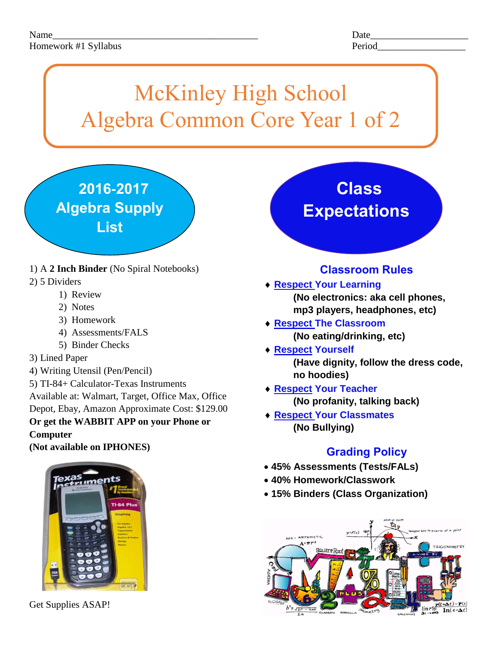# McKinley High School Algebra Common Core Year 1 of 2

 **2016-2017 Algebra Supply List**

- 1) A **2 Inch Binder** (No Spiral Notebooks)
- 2) 5 Dividers

- 1) Review
- 2) Notes
- 3) Homework
- 4) Assessments/FALS
- 5) Binder Checks
- 3) Lined Paper
- 4) Writing Utensil (Pen/Pencil)
- 5) TI-84+ Calculator-Texas Instruments

Available at: Walmart, Target, Office Max, Office Depot, Ebay, Amazon Approximate Cost: \$129.00 **Or get the WABBIT APP on your Phone or** 

**Computer**

**(Not available on IPHONES)**



Get Supplies ASAP!

## **Class Expectations**

### **Classroom Rules**

- **Respect Your Learning (No electronics: aka cell phones, mp3 players, headphones, etc)**
- **Respect The Classroom (No eating/drinking, etc)**
- **Respect Yourself (Have dignity, follow the dress code, no hoodies)**
- **Respect Your Teacher (No profanity, talking back)**
- **Respect Your Classmates (No Bullying)**

### **Grading Policy**

- **45% Assessments (Tests/FALs)**
- **40% Homework/Classwork**
- **15% Binders (Class Organization)**